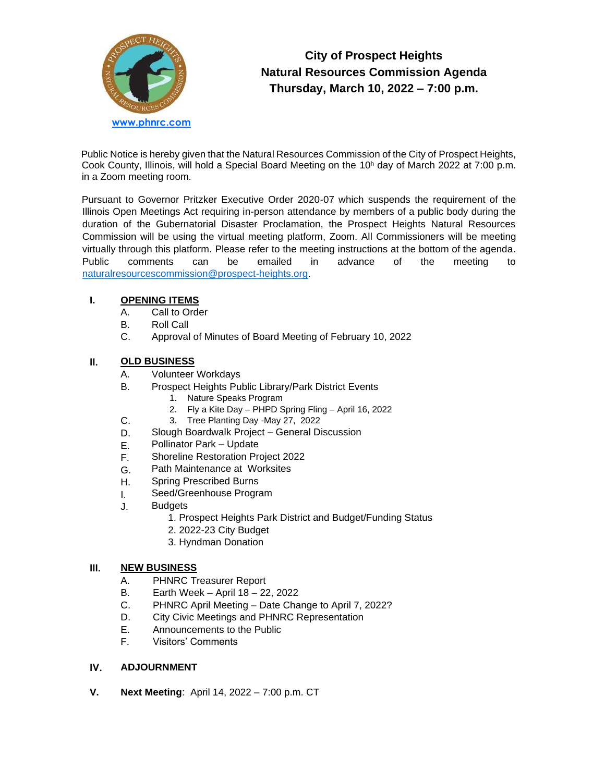

# **City of Prospect Heights Natural Resources Commission Agenda Thursday, March 10, 2022 – 7:00 p.m.**

Public Notice is hereby given that the Natural Resources Commission of the City of Prospect Heights, Cook County, Illinois, will hold a Special Board Meeting on the 10<sup>h</sup> day of March 2022 at 7:00 p.m. in a Zoom meeting room.

Pursuant to Governor Pritzker Executive Order 2020-07 which suspends the requirement of the Illinois Open Meetings Act requiring in-person attendance by members of a public body during the duration of the Gubernatorial Disaster Proclamation, the Prospect Heights Natural Resources Commission will be using the virtual meeting platform, Zoom. All Commissioners will be meeting virtually through this platform. Please refer to the meeting instructions at the bottom of the agenda. Public comments can be emailed in advance of the meeting to [naturalresourcescommission@prospect-heights.org.](mailto:naturalresourcescommission@prospect-heights.org)

## **I. OPENING ITEMS**

- A. Call to Order
- B. Roll Call
- C. Approval of Minutes of Board Meeting of February 10, 2022

## **II. OLD BUSINESS**

- A. Volunteer Workdays
- B. Prospect Heights Public Library/Park District Events
	- 1. Nature Speaks Program
	- 2. Fly a Kite Day PHPD Spring Fling April 16, 2022
- C. 3. Tree Planting Day -May 27, 2022
- D. Slough Boardwalk Project – General Discussion
- E. Pollinator Park – Update
- F. Shoreline Restoration Project 2022
- G. Path Maintenance at Worksites
- H. Spring Prescribed Burns
- I. Seed/Greenhouse Program
- J. **Budgets** 
	- 1. Prospect Heights Park District and Budget/Funding Status
	- 2. 2022-23 City Budget
	- 3. Hyndman Donation

### **III. NEW BUSINESS**

- A. PHNRC Treasurer Report
- B. Earth Week – April 18 – 22, 2022
- C. PHNRC April Meeting – Date Change to April 7, 2022?
- D. City Civic Meetings and PHNRC Representation
- E. Announcements to the Public
- F. Visitors' Comments

### **IV. ADJOURNMENT**

**V. Next Meeting**: April 14, 2022 – 7:00 p.m. CT